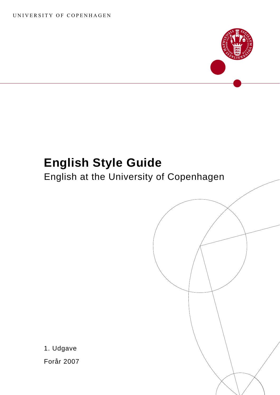UNIVERSITY OF COPENHAGEN



# **English Style Guide**

English at the University of Copenhagen

1. Udgave Forår 2007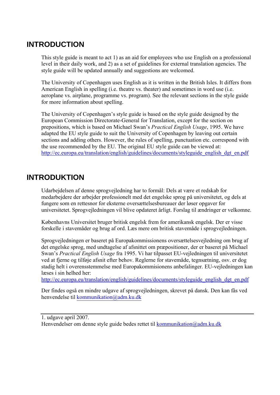# **INTRODUCTION**

This style guide is meant to act 1) as an aid for employees who use English on a professional level in their daily work, and 2) as a set of guidelines for external translation agencies. The style guide will be updated annually and suggestions are welcomed.

The University of Copenhagen uses English as it is written in the British Isles. It differs from American English in spelling (i.e. theatre vs. theater) and sometimes in word use (i.e. aeroplane vs. airplane, programme vs. program). See the relevant sections in the style guide for more information about spelling.

The University of Copenhagen's style guide is based on the style guide designed by the European Commission Directorate-General for Translation, except for the section on prepositions, which is based on Michael Swan's *Practical English Usage*, 1995. We have adapted the EU style guide to suit the University of Copenhagen by leaving out certain sections and adding others. However, the rules of spelling, punctuation etc. correspond with the use recommended by the EU. The original EU style guide can be viewed at: [http://ec.europa.eu/translation/english/guidelines/documents/styleguide\\_english\\_dgt\\_en.pdf](http://ec.europa.eu/translation/english/guidelines/documents/styleguide_english_dgt_en.pdf)

## **INTRODUKTION**

Udarbejdelsen af denne sprogvejledning har to formål: Dels at være et redskab for medarbejdere der arbejder professionelt med det engelske sprog på universitetet, og dels at fungere som en rettesnor for eksterne oversættelsesbureauer der løser opgaver for universitetet. Sprogvejledningen vil blive opdateret årligt. Forslag til ændringer er velkomne.

Københavns Universitet bruger britisk engelsk frem for amerikansk engelsk. Der er visse forskelle i stavemåder og brug af ord. Læs mere om britisk stavemåde i sprogvejledningen.

Sprogvejledningen er baseret på Europakommissionens oversættelsesvejledning om brug af det engelske sprog, med undtagelse af afsnittet om præpositioner, der er baseret på Michael Swan's *Practical English Usage* fra 1995. Vi har tilpasset EU-vejledningen til universitetet ved at fjerne og tilføje afsnit efter behov. Reglerne for stavemåde, tegnsætning, osv. er dog stadig helt i overensstemmelse med Europakommisionens anbefalinger. EU-vejledningen kan læses i sin helhed her:

[http://ec.europa.eu/translation/english/guidelines/documents/styleguide\\_english\\_dgt\\_en.pdf](http://ec.europa.eu/translation/english/guidelines/documents/styleguide_english_dgt_en.pdf)

Der findes også en mindre udgave af sprogvejledningen, skrevet på dansk. Den kan fås ved henvendelse til [kommunikation@adm.ku.dk](mailto:kommunikation@adm.ku.dk) 

1. udgave april 2007.

Henvendelser om denne style guide bedes rettet til [kommunikation@adm.ku.dk](mailto:kommunikation@adm.ku.dk)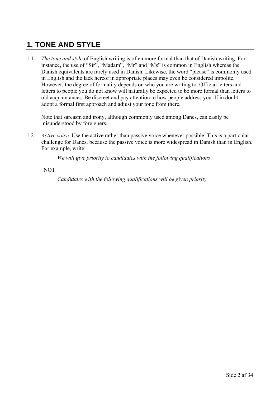# **1. TONE AND STYLE**

1.1 *The tone and style* of English writing is often more formal than that of Danish writing. For instance, the use of "Sir", "Madam", "Mr" and "Ms" is common in English whereas the Danish equivalents are rarely used in Danish. Likewise, the word "please" is commonly used in English and the lack hereof in appropriate places may even be considered impolite. However, the degree of formality depends on who you are writing to. Official letters and letters to people you do not know will naturally be expected to be more formal than letters to old acquaintances. Be discreet and pay attention to how people address you. If in doubt, adopt a formal first approach and adjust your tone from there.

Note that sarcasm and irony, although commonly used among Danes, can easily be misunderstood by foreigners.

1.2 *Active voice.* Use the active rather than passive voice whenever possible. This is a particular challenge for Danes, because the passive voice is more widespread in Danish than in English. For example, write:

*We will give priority to candidates with the following qualifications*

NOT

*Candidates with the following qualifications will be given priority*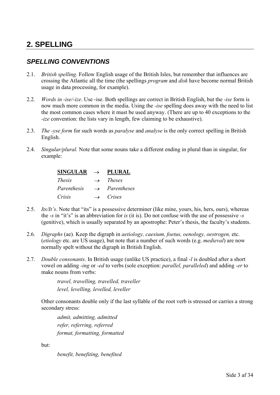# **2. SPELLING**

#### *SPELLING CONVENTIONS*

- 2.1. *British spelling.* Follow English usage of the British Isles, but remember that influences are crossing the Atlantic all the time (the spellings *program* and *disk* have become normal British usage in data processing, for example).
- 2.2. *Words in -ise/-ize*. Use -ise. Both spellings are correct in British English, but the *-ise* form is now much more common in the media. Using the *-ise* spelling does away with the need to list the most common cases where it must be used anyway. (There are up to 40 exceptions to the *-ize* convention: the lists vary in length, few claiming to be exhaustive).
- 2.3. *The -yse form* for such words as *paralyse* and *analyse* is the only correct spelling in British English.
- 2.4. *Singular/plural.* Note that some nouns take a different ending in plural than in singular, for example:

| $SINGULAR \rightarrow$ |               | <b>PLURAL</b> |
|------------------------|---------------|---------------|
| <i>Thesis</i>          | $\rightarrow$ | <i>Theses</i> |
| Parenthesis            | $\rightarrow$ | Parentheses   |
| Crisis                 | $\rightarrow$ | Crises        |

- 2.5. *Its/It's*. Note that "its" is a possessive determiner (like mine, yours, his, hers, ours), whereas the -*s* in "it's" is an abbreviation for *is* (it is). Do not confuse with the use of possessive -*s*  (genitive), which is usually separated by an apostrophe: Peter's thesis, the faculty's students.
- 2.6. *Digraphs* (ae)*.* Keep the digraph in *aetiology, caesium, foetus, oenology, oestrogen,* etc. (*etiology* etc. are US usage), but note that a number of such words (e.g. *medieval*) are now normally spelt without the digraph in British English.
- 2.7. *Double consonants*. In British usage (unlike US practice), a final *-l* is doubled after a short vowel on adding *-ing* or *-ed* to verbs (sole exception: *parallel, paralleled*) and adding *-er* to make nouns from verbs:

*travel, travelling, travelled, traveller level, levelling, levelled, leveller* 

Other consonants double only if the last syllable of the root verb is stressed or carries a strong secondary stress:

*admit, admitting, admitted refer, referring, referred format, formatting, formatted* 

but:

*benefit, benefiting, benefited*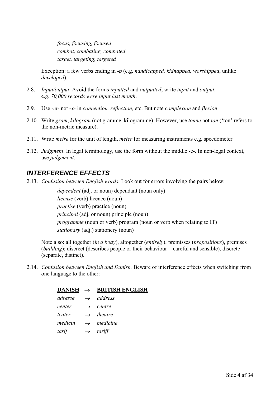*focus, focusing, focused combat, combating, combated target, targeting, targeted* 

Exception: a few verbs ending in *-p* (e.g. *handicapped, kidnapped, worshipped*, unlike *developed*).

- 2.8. *Input/output*. Avoid the forms *inputted* and *outputted*; write *input* and *output*: e.g. *70,000 records were input last month*.
- 2.9. Use -*ct* not -*x* in *connection, reflection,* etc. But note *complexion* and *flexion*.
- 2.10. Write *gram*, *kilogram* (not gramme, kilogramme). However, use *tonne* not *ton* ('ton' refers to the non-metric measure).
- 2.11. Write *metre* for the unit of length, *meter* for measuring instruments e.g. speedometer.
- 2.12. *Judgment*. In legal terminology, use the form without the middle -e-. In non-legal context, use *judgement*.

#### *INTERFERENCE EFFECTS*

2.13. *Confusion between English words*. Look out for errors involving the pairs below:

*dependent* (adj. or noun) dependant (noun only) *license* (verb) licence (noun) *practise* (verb) practice (noun) *principal* (adj. or noun) principle (noun) *programme* (noun or verb) program (noun or verb when relating to IT) *stationary* (adj.) stationery (noun)

Note also: all together (*in a body*), altogether (*entirely*); premisses (*propositions*), premises (*building*); discreet (describes people or their behaviour = careful and sensible), discrete (separate, distinct).

2.14. *Confusion between English and Danish.* Beware of interference effects when switching from one language to the other:

### **DANISH** → **BRITISH ENGLISH**

| adresse | $\rightarrow$ | address  |
|---------|---------------|----------|
| center  | $\rightarrow$ | centre   |
| teater  | $\rightarrow$ | theatre  |
| medicin | $\rightarrow$ | medicine |
| tarif   | $\rightarrow$ | tariff   |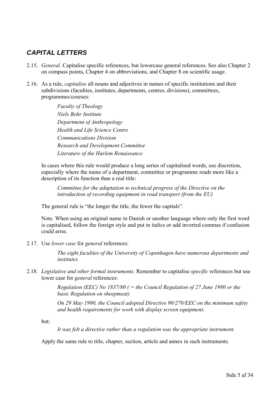### *CAPITAL LETTERS*

- 2.15. *General*. Capitalise specific references, but lowercase general references. See also Chapter 2 on compass points, Chapter 4 on abbreviations, and Chapter 8 on scientific usage.
- 2.16. As a rule, *capitalise* all nouns and adjectives in names of specific institutions and their subdivisions (faculties, institutes, departments, centres, divisions), committees, programmes/courses:

*Faculty of Theology Niels Bohr Institute Department of Anthropology Health and Life Science Centre Communications Division Research and Development Committee Literature of the Harlem Renaissance* 

In cases where this rule would produce a long series of capitalised words, use discretion, especially where the name of a department, committee or programme reads more like a description of its function than a real title:

*Committee for the adaptation to technical progress of the Directive on the introduction of recording equipment in road transport (from the EU)* 

The general rule is "the longer the title, the fewer the capitals".

Note. When using an original name in Danish or another language where only the first word is capitalised, follow the foreign style and put in italics or add inverted commas if confusion could arise.

2.17. Use *lower case* for *general* references:

*The eight faculties of the University of Copenhagen have numerous departments and institutes.* 

2.18. *Legislative and other formal instruments.* Remember to capitalise *specific* references but use lower case for *general* references:

> *Regulation (EEC) No 1837/80 ( = the Council Regulation of 27 June 1980 or the basic Regulation on sheepmeat)*

*On 29 May 1990, the Council adopted Directive 90/270/EEC on the minimum safety and health requirements for work with display screen equipment.* 

but:

*It was felt a directive rather than a regulation was the appropriate instrument.* 

Apply the same rule to title, chapter, section, article and annex in such instruments.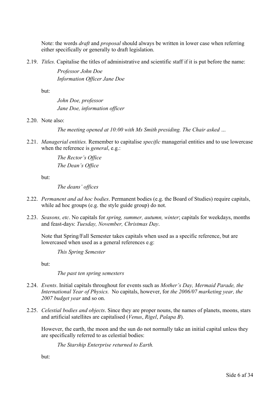Note: the words *draft* and *proposal* should always be written in lower case when referring either specifically or generally to draft legislation.

2.19. *Titles.* Capitalise the titles of administrative and scientific staff if it is put before the name:

*Professor John Doe Information Officer Jane Doe* 

but:

*John Doe, professor Jane Doe, information officer* 

2.20. Note also:

*The meeting opened at 10:00 with Ms Smith presiding. The Chair asked …* 

2.21. *Managerial entities.* Remember to capitalise *specific* managerial entities and to use lowercase when the reference is *general*, e.g.:

> *The Rector's Office The Dean's Office*

but:

*The deans' offices* 

- 2.22. *Permanent and ad hoc bodies*. Permanent bodies (e.g. the Board of Studies) require capitals, while ad hoc groups (e.g. the style guide group) do not.
- 2.23. *Seasons, etc*. No capitals for *spring, summer, autumn, winter*; capitals for weekdays, months and feast-days: *Tuesday, November, Christmas Day*.

Note that Spring/Fall Semester takes capitals when used as a specific reference, but are lowercased when used as a general references e.g:

*This Spring Semester* 

but:

*The past ten spring semesters* 

- 2.24. *Events*. Initial capitals throughout for events such as *Mother's Day, Mermaid Parade, the International Year of Physics.* No capitals, however, for *the 2006/07 marketing year, the 2007 budget year* and so on.
- 2.25. *Celestial bodies and objects*. Since they are proper nouns, the names of planets, moons, stars and artificial satellites are capitalised (*Venus*, *Rigel*, *Palapa B*).

However, the earth, the moon and the sun do not normally take an initial capital unless they are specifically referred to as celestial bodies:

*The Starship Enterprise returned to Earth.* 

but: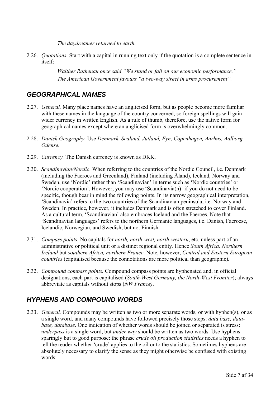*The daydreamer returned to earth.* 

2.26. *Quotations.* Start with a capital in running text only if the quotation is a complete sentence in itself:

> *Walther Rathenau once said "We stand or fall on our economic performance." The American Government favours "a two-way street in arms procurement".*

#### *GEOGRAPHICAL NAMES*

- 2.27. *General.* Many place names have an anglicised form, but as people become more familiar with these names in the language of the country concerned, so foreign spellings will gain wider currency in written English. As a rule of thumb, therefore, use the native form for geographical names except where an anglicised form is overwhelmingly common.
- 2.28. *Danish Geography.* Use *Denmark, Sealand, Jutland, Fyn, Copenhagen, Aarhus, Aalborg, Odense.*
- 2.29. *Currency.* The Danish currency is known as DKK.
- 2.30. *Scandinavian/Nordic*. When referring to the countries of the Nordic Council, i.e. Denmark (including the Faeroes and Greenland), Finland (including Åland), Iceland, Norway and Sweden, use 'Nordic' rather than 'Scandinavian' in terms such as 'Nordic countries' or 'Nordic cooperation'. However, you may use 'Scandinavia(n)' if you do not need to be specific, though bear in mind the following points. In its narrow geographical interpretation, 'Scandinavia' refers to the two countries of the Scandinavian peninsula, i.e. Norway and Sweden. In practice, however, it includes Denmark and is often stretched to cover Finland. As a cultural term, 'Scandinavian' also embraces Iceland and the Faeroes. Note that 'Scandinavian languages' refers to the northern Germanic languages, i.e. Danish, Faeroese, Icelandic, Norwegian, and Swedish, but not Finnish.
- 2.31. *Compass points*. No capitals for *north, north-west, north-western*, etc. unless part of an administrative or political unit or a distinct regional entity. Hence *South Africa, Northern Ireland* but *southern Africa, northern France*. Note, however, *Central and Eastern European countries* (capitalised because the connotations are more political than geographic)*.*
- 2.32. *Compound compass points.* Compound compass points are hyphenated and, in official designations, each part is capitalised (*South-West Germany, the North-West Frontier*); always abbreviate as capitals without stops (*NW France)*.

#### *HYPHENS AND COMPOUND WORDS*

2.33. *General.* Compounds may be written as two or more separate words, or with hyphen(s), or as a single word, and many compounds have followed precisely those steps: *data base, database, database*. One indication of whether words should be joined or separated is stress: *underpass* is a single word, but *under way* should be written as two words. Use hyphens sparingly but to good purpose: the phrase *crude oil production statistics* needs a hyphen to tell the reader whether 'crude' applies to the oil or to the statistics. Sometimes hyphens are absolutely necessary to clarify the sense as they might otherwise be confused with existing words: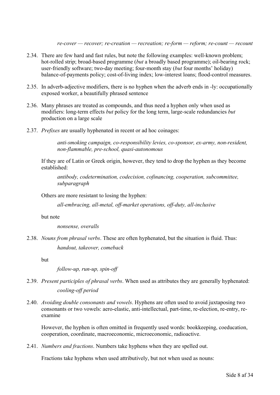*re-cover — recover; re-creation — recreation; re-form — reform; re-count — recount* 

- 2.34. There are few hard and fast rules, but note the following examples: well-known problem; hot-rolled strip; broad-based programme (*but* a broadly based programme); oil-bearing rock; user-friendly software; two-day meeting; four-month stay (*but* four months' holiday) balance-of-payments policy; cost-of-living index; low-interest loans; flood-control measures.
- 2.35. In adverb-adjective modifiers, there is no hyphen when the adverb ends in -ly: occupationally exposed worker, a beautifully phrased sentence
- 2.36. Many phrases are treated as compounds, and thus need a hyphen only when used as modifiers: long-term effects *but* policy for the long term, large-scale redundancies *but*  production on a large scale
- 2.37. *Prefixes* are usually hyphenated in recent or ad hoc coinages:

*anti-smoking campaign, co-responsibility levies, co-sponsor, ex-army, non-resident, non-flammable, pre-school, quasi-autonomous* 

If they are of Latin or Greek origin, however, they tend to drop the hyphen as they become established:

*antibody, codetermination, codecision, cofinancing, cooperation, subcommittee, subparagraph* 

Others are more resistant to losing the hyphen:

*all-embracing, all-metal, off-market operations, off-duty, all-inclusive* 

but note

*nonsense, overalls* 

2.38. *Nouns from phrasal verbs*. These are often hyphenated, but the situation is fluid. Thus: *handout, takeover, comeback* 

but

*follow-up, run-up, spin-off* 

- 2.39. *Present participles of phrasal verbs*. When used as attributes they are generally hyphenated: *cooling-off period*
- 2.40. *Avoiding double consonants and vowels*. Hyphens are often used to avoid juxtaposing two consonants or two vowels: aero-elastic, anti-intellectual, part-time, re-election, re-entry, reexamine

However, the hyphen is often omitted in frequently used words: bookkeeping, coeducation, cooperation, coordinate, macroeconomic, microeconomic, radioactive.

2.41. *Numbers and fractions*. Numbers take hyphens when they are spelled out.

Fractions take hyphens when used attributively, but not when used as nouns: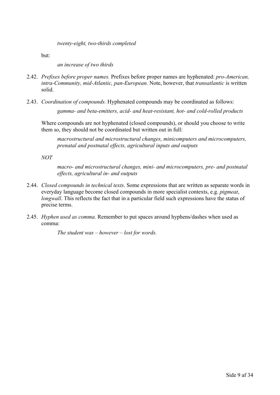*twenty-eight, two-thirds completed* 

but:

*an increase of two thirds* 

- 2.42. *Prefixes before proper names.* Prefixes before proper names are hyphenated: *pro-American, intra-Community, mid-Atlantic, pan-European.* Note, however, that *transatlantic* is written solid.
- 2.43. *Coordination of compounds.* Hyphenated compounds may be coordinated as follows:

*gamma- and beta-emitters, acid- and heat-resistant, hot- and cold-rolled products* 

Where compounds are not hyphenated (closed compounds), or should you choose to write them so, they should not be coordinated but written out in full:

*macrostructural and microstructural changes, minicomputers and microcomputers, prenatal and postnatal effects, agricultural inputs and outputs* 

*NOT* 

*macro- and microstructural changes, mini- and microcomputers, pre- and postnatal effects, agricultural in- and outputs* 

- 2.44. *Closed compounds in technical texts*. Some expressions that are written as separate words in everyday language become closed compounds in more specialist contexts, e.g. *pigmeat*, *longwall*. This reflects the fact that in a particular field such expressions have the status of precise terms.
- 2.45. *Hyphen used as comma.* Remember to put spaces around hyphens/dashes when used as comma:

*The student was – however – lost for words.*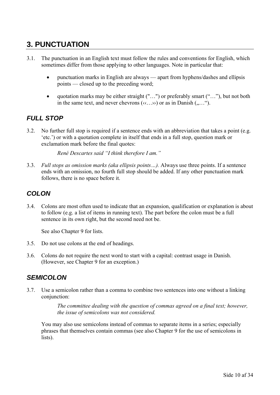# **3. PUNCTUATION**

- 3.1. The punctuation in an English text must follow the rules and conventions for English, which sometimes differ from those applying to other languages. Note in particular that:
	- punctuation marks in English are always apart from hyphens/dashes and ellipsis points — closed up to the preceding word;
	- quotation marks may be either straight ("...") or preferably smart ("..."), but not both in the same text, and never chevrons  $(\langle \ldots \rangle)$  or as in Danish  $(\ldots \cdots)$ .

### *FULL STOP*

3.2. No further full stop is required if a sentence ends with an abbreviation that takes a point (e.g. 'etc.') or with a quotation complete in itself that ends in a full stop, question mark or exclamation mark before the final quotes:

*René Descartes said "I think therefore I am."*

3.3. *Full stops as omission marks (aka ellipsis points…).* Always use three points. If a sentence ends with an omission, no fourth full stop should be added. If any other punctuation mark follows, there is no space before it.

#### *COLON*

3.4. Colons are most often used to indicate that an expansion, qualification or explanation is about to follow (e.g. a list of items in running text). The part before the colon must be a full sentence in its own right, but the second need not be.

See also Chapter 9 for lists.

- 3.5. Do not use colons at the end of headings.
- 3.6. Colons do not require the next word to start with a capital: contrast usage in Danish. (However, see Chapter 9 for an exception.)

#### *SEMICOLON*

3.7. Use a semicolon rather than a comma to combine two sentences into one without a linking conjunction:

> *The committee dealing with the question of commas agreed on a final text; however, the issue of semicolons was not considered.*

You may also use semicolons instead of commas to separate items in a series; especially phrases that themselves contain commas (see also Chapter 9 for the use of semicolons in lists).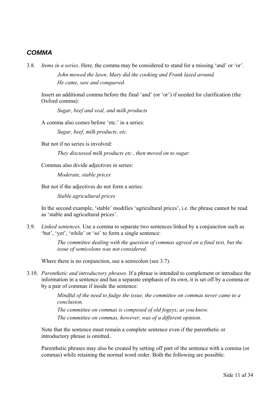#### *COMMA*

3.8. *Items in a series*. Here, the comma may be considered to stand for a missing 'and' or 'or'.

*John mowed the lawn, Mary did the cooking and Frank lazed around. He came, saw and conquered.* 

Insert an additional comma before the final 'and' (or 'or') if needed for clarification (the Oxford comma):

*Sugar, beef and veal, and milk products* 

A comma also comes before 'etc.' in a series:

*Sugar, beef, milk products, etc.* 

But not if no series is involved:

*They discussed milk products etc., then moved on to sugar.* 

Commas also divide adjectives in series:

*Moderate, stable prices* 

But not if the adjectives do not form a series:

*Stable agricultural prices* 

In the second example, 'stable' modifies 'agricultural prices', i.e. the phrase cannot be read as 'stable and agricultural prices'.

3.9. *Linked sentences.* Use a comma to separate two sentences linked by a conjunction such as 'but', 'yet', 'while' or 'so' to form a single sentence:

> *The committee dealing with the question of commas agreed on a final text, but the issue of semicolons was not considered.*

Where there is no conjunction, use a semicolon (see 3.7).

3.10. *Parenthetic and introductory phrases.* If a phrase is intended to complement or introduce the information in a sentence and has a separate emphasis of its own, it is set off by a comma or by a pair of commas if inside the sentence:

> *Mindful of the need to fudge the issue, the committee on commas never came to a conclusion.*

*The committee on commas is composed of old fogeys, as you know. The committee on commas, however, was of a different opinion.* 

Note that the sentence must remain a complete sentence even if the parenthetic or introductory phrase is omitted.

Parenthetic phrases may also be created by setting off part of the sentence with a comma (or commas) while retaining the normal word order. Both the following are possible: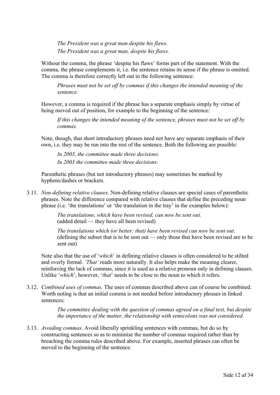*The President was a great man despite his flaws. The President was a great man, despite his flaws.* 

Without the comma, the phrase 'despite his flaws' forms part of the statement. With the comma, the phrase complements it, i.e. the sentence retains its sense if the phrase is omitted. The comma is therefore correctly left out in the following sentence:

*Phrases must not be set off by commas if this changes the intended meaning of the sentence.* 

However, a comma is required if the phrase has a separate emphasis simply by virtue of being moved out of position, for example to the beginning of the sentence:

*If this changes the intended meaning of the sentence, phrases must not be set off by commas.* 

Note, though, that short introductory phrases need not have any separate emphasis of their own, i.e. they may be run into the rest of the sentence. Both the following are possible:

*In 2003, the committee made three decisions. In 2003 the committee made three decisions.* 

Parenthetic phrases (but not introductory phrases) may sometimes be marked by hyphens/dashes or brackets.

3.11. *Non-defining relative clauses.* Non-defining relative clauses are special cases of parenthetic phrases. Note the difference compared with relative clauses that define the preceding noun phrase (i.e. 'the translations' or 'the translation in the tray' in the examples below):

> *The translations, which have been revised, can now be sent out.*  (added detail — they have all been revised)

*The translations which (or better: that) have been revised can now be sent out.*  (defining the subset that is to be sent out — only those that have been revised are to be sent out)

Note also that the use of '*which*' in defining relative clauses is often considered to be stilted and overly formal. *'That'* reads more naturally. It also helps make the meaning clearer, reinforcing the lack of commas, since it is used as a relative pronoun only in defining clauses. Unlike '*which*', however, '*that*' needs to be close to the noun to which it refers.

3.12. *Combined uses of commas.* The uses of commas described above can of course be combined. Worth noting is that an initial comma is not needed before introductory phrases in linked sentences:

> *The committee dealing with the question of commas agreed on a final text, but despite the importance of the matter, the relationship with semicolons was not considered.*

3.13. *Avoiding commas*. Avoid liberally sprinkling sentences with commas, but do so by constructing sentences so as to minimise the number of commas required rather than by breaching the comma rules described above. For example, inserted phrases can often be moved to the beginning of the sentence.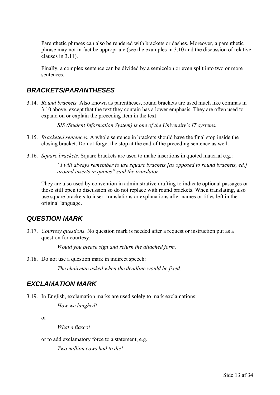Parenthetic phrases can also be rendered with brackets or dashes. Moreover, a parenthetic phrase may not in fact be appropriate (see the examples in 3.10 and the discussion of relative clauses in 3.11).

Finally, a complex sentence can be divided by a semicolon or even split into two or more sentences.

#### *BRACKETS/PARANTHESES*

3.14. *Round brackets.* Also known as parentheses, round brackets are used much like commas in 3.10 above, except that the text they contain has a lower emphasis. They are often used to expand on or explain the preceding item in the text:

*SIS (Student Information System) is one of the University's IT systems.* 

- 3.15. *Bracketed sentences.* A whole sentence in brackets should have the final stop inside the closing bracket. Do not forget the stop at the end of the preceding sentence as well.
- 3.16. *Square brackets.* Square brackets are used to make insertions in quoted material e.g.:

*"I will always remember to use square brackets [as opposed to round brackets, ed.] around inserts in quotes" said the translator.* 

They are also used by convention in administrative drafting to indicate optional passages or those still open to discussion so do not replace with round brackets. When translating, also use square brackets to insert translations or explanations after names or titles left in the original language.

#### *QUESTION MARK*

3.17. *Courtesy questions.* No question mark is needed after a request or instruction put as a question for courtesy:

*Would you please sign and return the attached form.* 

3.18. Do not use a question mark in indirect speech: *The chairman asked when the deadline would be fixed.* 

### *EXCLAMATION MARK*

3.19. In English, exclamation marks are used solely to mark exclamations:

*How we laughed!*

or

*What a fiasco!* 

or to add exclamatory force to a statement, e.g.

*Two million cows had to die!*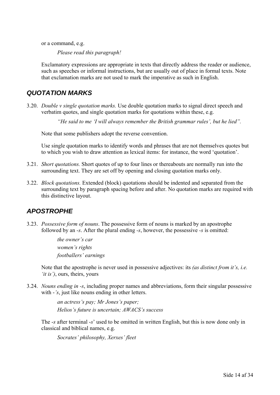or a command, e.g.

*Please read this paragraph!*

Exclamatory expressions are appropriate in texts that directly address the reader or audience, such as speeches or informal instructions, but are usually out of place in formal texts. Note that exclamation marks are not used to mark the imperative as such in English.

#### *QUOTATION MARKS*

3.20. *Double v single quotation marks.* Use double quotation marks to signal direct speech and verbatim quotes, and single quotation marks for quotations within these, e.g.

*"He said to me 'I will always remember the British grammar rules', but he lied".* 

Note that some publishers adopt the reverse convention.

Use single quotation marks to identify words and phrases that are not themselves quotes but to which you wish to draw attention as lexical items: for instance, the word 'quotation'.

- 3.21. *Short quotations.* Short quotes of up to four lines or thereabouts are normally run into the surrounding text. They are set off by opening and closing quotation marks only.
- 3.22. *Block quotations.* Extended (block) quotations should be indented and separated from the surrounding text by paragraph spacing before and after. No quotation marks are required with this distinctive layout.

#### *APOSTROPHE*

3.23. *Possessive form of nouns*. The possessive form of nouns is marked by an apostrophe followed by an *-s*. After the plural ending *-s*, however, the possessive *-s* is omitted:

> *the owner's car women's rights footballers' earnings*

Note that the apostrophe is never used in possessive adjectives: its *(as distinct from it's, i.e. 'it is')*, ours, theirs, yours

3.24. *Nouns ending in -s*, including proper names and abbreviations, form their singular possessive with  $\frac{1}{s}$ , just like nouns ending in other letters.

> *an actress's pay; Mr Jones's paper; Helios's future is uncertain; AWACS's success*

The -*s* after terminal -*s*' used to be omitted in written English, but this is now done only in classical and biblical names, e.g.

*Socrates' philosophy, Xerxes' fleet*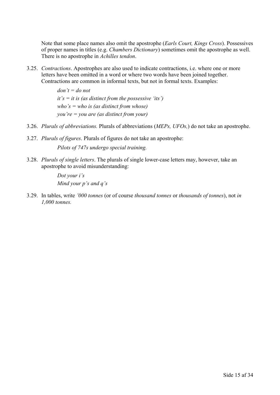Note that some place names also omit the apostrophe (*Earls Court, Kings Cross*). Possessives of proper names in titles (e.g. *Chambers Dictionary*) sometimes omit the apostrophe as well. There is no apostrophe in *Achilles tendon*.

3.25. *Contractions*. Apostrophes are also used to indicate contractions, i.e. where one or more letters have been omitted in a word or where two words have been joined together. Contractions are common in informal texts, but not in formal texts. Examples:

> *don't = do not it's = it is (as distinct from the possessive 'its') who's = who is (as distinct from whose) you're = you are (as distinct from your)*

- 3.26. *Plurals of abbreviations.* Plurals of abbreviations (*MEPs, UFOs,*) do not take an apostrophe.
- 3.27. *Plurals of figures*. Plurals of figures do not take an apostrophe: *Pilots of 747s undergo special training.*
- 3.28. *Plurals of single letters*. The plurals of single lower-case letters may, however, take an apostrophe to avoid misunderstanding:

*Dot your i's Mind your p's and q's* 

3.29. In tables, write *'000 tonnes* (or of course *thousand tonnes* or *thousands of tonnes*), not *in 1,000 tonnes.*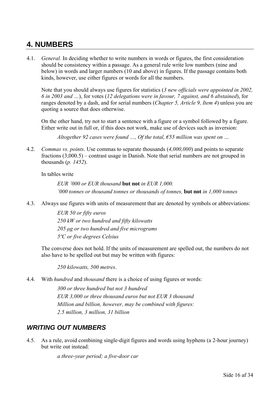## **4. NUMBERS**

4.1. *General.* In deciding whether to write numbers in words or figures, the first consideration should be consistency within a passage. As a general rule write low numbers (nine and below) in words and larger numbers (10 and above) in figures. If the passage contains both kinds, however, use either figures or words for all the numbers.

Note that you should always use figures for statistics (*3 new officials were appointed in 2002, 6 in 2003 and …*), for votes (*12 delegations were in favour, 7 against, and 6 abstained*), for ranges denoted by a dash, and for serial numbers (*Chapter 5, Article 9, Item 4*) unless you are quoting a source that does otherwise.

On the other hand, try not to start a sentence with a figure or a symbol followed by a figure. Either write out in full or, if this does not work, make use of devices such as inversion:

*Altogether 92 cases were found …, Of the total, €55 million was spent on …* 

4.2. *Commas vs. points*. Use commas to separate thousands (*4,000,000*) and points to separate fractions (3,000.5) – contrast usage in Danish. Note that serial numbers are not grouped in thousands (*p. 1452*).

In tables write

*EUR '000 or EUR thousand* **but not** *in EUR 1,000. '000 tonnes or thousand tonnes or thousands of tonnes,* **but not** *in 1,000 tonnes* 

4.3. Always use figures with units of measurement that are denoted by symbols or abbreviations:

*EUR 50 or fifty euros 250 kW or two hundred and fifty kilowatts 205 μg or two hundred and five micrograms 5ºC or five degrees Celsius* 

The converse does not hold. If the units of measurement are spelled out, the numbers do not also have to be spelled out but may be written with figures:

*250 kilowatts, 500 metres*.

4.4. With *hundred* and *thousand* there is a choice of using figures or words:

*300 or three hundred but not 3 hundred EUR 3,000 or three thousand euros but not EUR 3 thousand Million and billion, however, may be combined with figures: 2.5 million, 3 million, 31 billion* 

#### *WRITING OUT NUMBERS*

4.5. As a rule, avoid combining single-digit figures and words using hyphens (a 2-hour journey) but write out instead:

*a three-year period; a five-door car*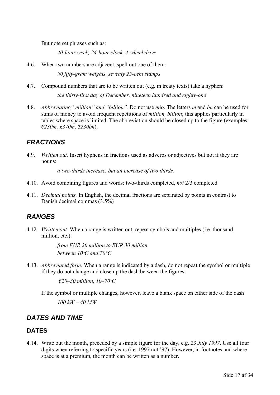But note set phrases such as:

*40-hour week, 24-hour clock, 4-wheel drive* 

- 4.6. When two numbers are adjacent, spell out one of them: *90 fifty-gram weights, seventy 25-cent stamps*
- 4.7. Compound numbers that are to be written out (e.g. in treaty texts) take a hyphen: *the thirty-first day of December, nineteen hundred and eighty-one*
- 4.8. *Abbreviating "million" and "billion".* Do not use *mio*. The letters *m* and *bn* can be used for sums of money to avoid frequent repetitions of *million, billion*; this applies particularly in tables where space is limited. The abbreviation should be closed up to the figure (examples: *€230m, £370m, \$230bn*).

### *FRACTIONS*

4.9. *Written out.* Insert hyphens in fractions used as adverbs or adjectives but not if they are nouns:

*a two-thirds increase, but an increase of two thirds.* 

- 4.10. Avoid combining figures and words: two-thirds completed, *not* 2/3 completed
- 4.11. *Decimal points.* In English, the decimal fractions are separated by points in contrast to Danish decimal commas (3.5%)

#### *RANGES*

4.12. *Written out.* When a range is written out, repeat symbols and multiples (i.e. thousand, million, etc.):

> *from EUR 20 million to EUR 30 million between 10ºC and 70°C*

4.13. *Abbreviated form.* When a range is indicated by a dash*,* do not repeat the symbol or multiple if they do not change and close up the dash between the figures:

 *€20–30 million, 10–70ºC* 

If the symbol or multiple changes, however, leave a blank space on either side of the dash

*100 kW – 40 MW* 

#### *DATES AND TIME*

#### **DATES**

4.14. Write out the month, preceded by a simple figure for the day, e.g. *23 July 1997*. Use all four digits when referring to specific years (i.e. 1997 not '97). However, in footnotes and where space is at a premium, the month can be written as a number.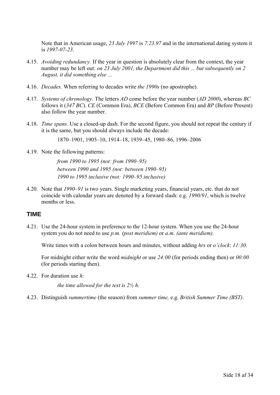Note that in American usage, *23 July 1997* is *7.23.97* and in the international dating system it is *1997-07-23*.

- 4.15. *Avoiding redundancy.* If the year in question is absolutely clear from the context, the year number may be left out: *on 23 July 2001, the Department did this ... but subsequently on 2 August, it did something else ...*
- 4.16. *Decades.* When referring to decades write *the 1990s* (no apostrophe).
- 4.17. *Systems of chronology.* The letters *AD* come before the year number (*AD 2000*), whereas *BC*  follows it (*347 BC*). *CE* (Common Era), *BCE* (Before Common Era) and *BP* (Before Present) also follow the year number.
- 4.18. *Time spans.* Use a closed-up dash. For the second figure, you should not repeat the century if it is the same, but you should always include the decade:

1870–1901, 1905–10, 1914–18, 1939–45, 1980–86, 1996–2006

#### 4.19. Note the following patterns:

*from 1990 to 1995 (not: from 1990–95) between 1990 and 1995 (not: between 1990–95) 1990 to 1995 inclusive (not: 1990–95 inclusive)* 

4.20. Note that *1990–91* is two years. Single marketing years, financial years, etc. that do not coincide with calendar years are denoted by a forward slash: e.g. *1990/91*, which is twelve months or less.

#### **TIME**

4.21. Use the 24-hour system in preference to the 12-hour system. When you use the 24-hour system you do not need to use *p.m. (post meridiem)* or *a.m*. *(ante meridiem).*

Write times with a colon between hours and minutes, without adding *hrs* or *o'clock*: *11:30*.

For midnight either write the word *midnight* or use *24:00* (for periods ending then) or *00:00*  (for periods starting then).

4.22. For duration use *h:* 

*the time allowed for the test is 2½ h.* 

4.23. Distinguish *summertime* (the season) from *summer time,* e.g. *British Summer Time (BST)*.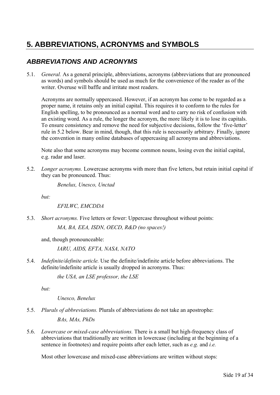# **5. ABBREVIATIONS, ACRONYMS and SYMBOLS**

#### *ABBREVIATIONS AND ACRONYMS*

5.1. *General.* As a general principle, abbreviations, acronyms (abbreviations that are pronounced as words) and symbols should be used as much for the convenience of the reader as of the writer. Overuse will baffle and irritate most readers.

Acronyms are normally uppercased. However, if an acronym has come to be regarded as a proper name, it retains only an initial capital. This requires it to conform to the rules for English spelling, to be pronounced as a normal word and to carry no risk of confusion with an existing word. As a rule, the longer the acronym, the more likely it is to lose its capitals. To ensure consistency and remove the need for subjective decisions, follow the 'five-letter' rule in 5.2 below. Bear in mind, though, that this rule is necessarily arbitrary. Finally, ignore the convention in many online databases of uppercasing all acronyms and abbreviations.

Note also that some acronyms may become common nouns, losing even the initial capital, e.g. radar and laser.

5.2. *Longer acronyms.* Lowercase acronyms with more than five letters, but retain initial capital if they can be pronounced. Thus:

*Benelux, Unesco, Unctad* 

*but:* 

*EFILWC, EMCDDA* 

5.3. *Short acronyms.* Five letters or fewer: Uppercase throughout without points:

*MA, BA, EEA, ISDN, OECD, R&D (no spaces!)* 

and, though pronounceable:

*IARU, AIDS, EFTA, NASA, NATO* 

5.4. *Indefinite/definite article.* Use the definite/indefinite article before abbreviations. The definite/indefinite article is usually dropped in acronyms. Thus:

*the USA, an LSE professor, the LSE* 

*but:* 

*Unesco, Benelux* 

5.5. *Plurals of abbreviations.* Plurals of abbreviations do not take an apostrophe:

*BAs, MAs, PhDs* 

5.6. *Lowercase or mixed-case abbreviations.* There is a small but high-frequency class of abbreviations that traditionally are written in lowercase (including at the beginning of a sentence in footnotes) and require points after each letter, such as *e.g.* and *i.e.*

Most other lowercase and mixed-case abbreviations are written without stops: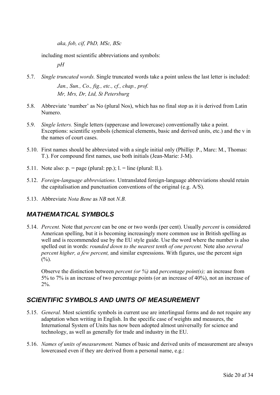*aka, fob, cif, PhD, MSc, BSc*

including most scientific abbreviations and symbols:

*pH*

5.7. *Single truncated words.* Single truncated words take a point unless the last letter is included:

*Jan., Sun., Co., fig., etc., cf., chap., prof. Mr, Mrs, Dr, Ltd, St Petersburg* 

- 5.8. Abbreviate 'number' as No (plural Nos), which has no final stop as it is derived from Latin Numero.
- 5.9. *Single letters.* Single letters (uppercase and lowercase) conventionally take a point. Exceptions: scientific symbols (chemical elements, basic and derived units, etc.) and the v in the names of court cases.
- 5.10. First names should be abbreviated with a single initial only (Phillip: P., Marc: M., Thomas: T.). For compound first names, use both initials (Jean-Marie: J-M).
- 5.11. Note also:  $p = page (plural: pp.); 1 = line (plural: ll.).$
- 5.12. *Foreign-language abbreviations.* Untranslated foreign-language abbreviations should retain the capitalisation and punctuation conventions of the original (e.g. A/S).
- 5.13. Abbreviate *Nota Bene* as *NB* not *N.B.*

#### *MATHEMATICAL SYMBOLS*

5.14. *Percent.* Note that *percent* can be one or two words (per cent). Usually *percent* is considered American spelling, but it is becoming increasingly more common use in British spelling as well and is recommended use by the EU style guide. Use the word where the number is also spelled out in words: *rounded down to the nearest tenth of one percent.* Note also *several percent higher, a few percent,* and similar expressions. With figures, use the percent sign  $(%).$ 

Observe the distinction between *percent (or %)* and *percentage point(s);* an increase from 5% to 7% is an increase of two percentage points (or an increase of 40%), not an increase of 2%.

#### *SCIENTIFIC SYMBOLS AND UNITS OF MEASUREMENT*

- 5.15. *General.* Most scientific symbols in current use are interlingual forms and do not require any adaptation when writing in English. In the specific case of weights and measures, the International System of Units has now been adopted almost universally for science and technology, as well as generally for trade and industry in the EU.
- 5.16. *Names of units of measurement.* Names of basic and derived units of measurement are always lowercased even if they are derived from a personal name, e.g.: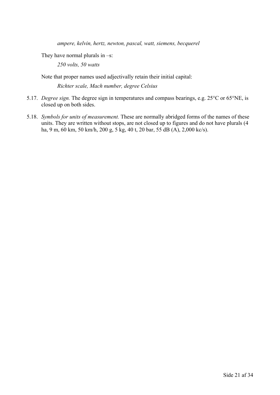*ampere, kelvin, hertz, newton, pascal, watt, siemens, becquerel*

They have normal plurals in  $-s$ :

*250 volts, 50 watts* 

Note that proper names used adjectivally retain their initial capital:

*Richter scale, Mach number, degree Celsius*

- 5.17. *Degree sign.* The degree sign in temperatures and compass bearings, e.g. 25°C or 65°NE, is closed up on both sides.
- 5.18. *Symbols for units of measurement.* These are normally abridged forms of the names of these units. They are written without stops, are not closed up to figures and do not have plurals (4 ha, 9 m, 60 km, 50 km/h, 200 g, 5 kg, 40 t, 20 bar, 55 dB (A), 2,000 kc/s).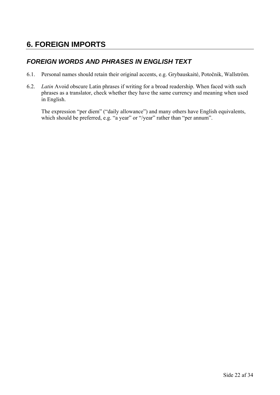# **6. FOREIGN IMPORTS**

### *FOREIGN WORDS AND PHRASES IN ENGLISH TEXT*

- 6.1. Personal names should retain their original accents, e.g. Grybauskaité, Potočnik, Wallström.
- 6.2. *Latin* Avoid obscure Latin phrases if writing for a broad readership. When faced with such phrases as a translator, check whether they have the same currency and meaning when used in English.

The expression "per diem" ("daily allowance") and many others have English equivalents, which should be preferred, e.g. "a year" or "/year" rather than "per annum".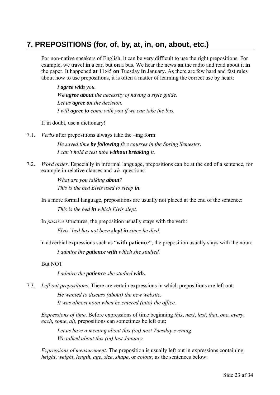# **7. PREPOSITIONS (for, of, by, at, in, on, about, etc.)**

For non-native speakers of English, it can be very difficult to use the right prepositions. For example, we travel **in** a car, but **on** a bus. We hear the news **on** the radio and read about it **in** the paper. It happened **at** 11:45 **on** Tuesday **in** January. As there are few hard and fast rules about how to use prepositions, it is often a matter of learning the correct use by heart:

*I agree with you. We agree about the necessity of having a style guide. Let us agree on the decision. I will agree to come with you if we can take the bus.* 

If in doubt, use a dictionary!

7.1. *Verbs* after prepositions always take the –ing form:

*He saved time by following five courses in the Spring Semester. I can't hold a test tube without breaking it.* 

7.2. *Word order.* Especially in informal language, prepositions can be at the end of a sentence, for example in relative clauses and *wh*- questions:

> *What are you talking about? This is the bed Elvis used to sleep in.*

In a more formal language, prepositions are usually not placed at the end of the sentence:

*This is the bed in which Elvis slept.* 

In *passive* structures, the preposition usually stays with the verb:

*Elvis' bed has not been slept in since he died.* 

In adverbial expressions such as "**with patience"**, the preposition usually stays with the noun:

*I admire the patience with which she studied.* 

But NOT

*I admire the patience she studied with.*

7.3. *Left out prepositions*. There are certain expressions in which prepositions are left out:

*He wanted to discuss (about) the new website. It was almost noon when he entered (into) the office.* 

*Expressions of time*. Before expressions of time beginning *this*, *next*, *last*, *that*, *one*, *every*, *each*, *some*, *all*, prepositions can sometimes be left out:

*Let us have a meeting about this (on) next Tuesday evening. We talked about this (in) last January.* 

*Expressions of measurement*. The preposition is usually left out in expressions containing *height*, *weight*, *length*, *age*, *size*, *shape*, or *colour*, as the sentences below: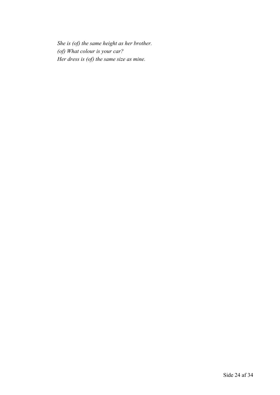*She is (of) the same height as her brother. (of) What colour is your car? Her dress is (of) the same size as mine.*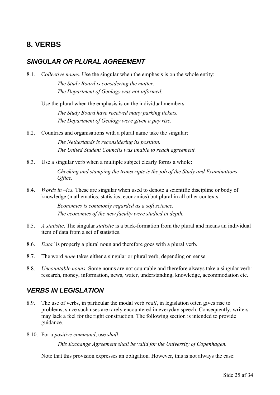## **8. VERBS**

#### *SINGULAR OR PLURAL AGREEMENT*

8.1. C*ollective nouns*. Use the singular when the emphasis is on the whole entity:

*The Study Board is considering the matter. The Department of Geology was not informed.* 

Use the plural when the emphasis is on the individual members:

*The Study Board have received many parking tickets. The Department of Geology were given a pay rise.* 

8.2. Countries and organisations with a plural name take the singular:

*The Netherlands is reconsidering its position. The United Student Councils was unable to reach agreement.* 

8.3. Use a singular verb when a multiple subject clearly forms a whole:

*Checking and stamping the transcripts is the job of the Study and Examinations Office.* 

8.4. *Words in –ics.* These are singular when used to denote a scientific discipline or body of knowledge (mathematics, statistics, economics) but plural in all other contexts.

> *Economics is commonly regarded as a soft science. The economics of the new faculty were studied in depth.*

- 8.5. *A statistic*. The singular *statistic* is a back-formation from the plural and means an individual item of data from a set of statistics.
- 8.6. *Data'* is properly a plural noun and therefore goes with a plural verb.
- 8.7. The word *none* takes either a singular or plural verb, depending on sense.
- 8.8. *Uncountable nouns.* Some nouns are not countable and therefore always take a singular verb: research, money, information, news, water, understanding, knowledge, accommodation etc.

#### *VERBS IN LEGISLATION*

- 8.9. The use of verbs, in particular the modal verb *shall*, in legislation often gives rise to problems, since such uses are rarely encountered in everyday speech. Consequently, writers may lack a feel for the right construction. The following section is intended to provide guidance.
- 8.10. For a *positive command*, use *shall*:

*This Exchange Agreement shall be valid for the University of Copenhagen.* 

Note that this provision expresses an obligation. However, this is not always the case: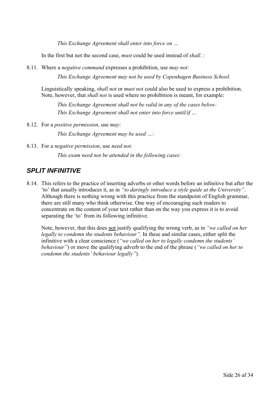*This Exchange Agreement shall enter into force on …* 

In the first but not the second case, *must* could be used instead of *shall*. :

8.11. Where a *negative command* expresses a prohibition, use *may not:*

*This Exchange Agreement may not be used by Copenhagen Business School.* 

Linguistically speaking, *shall not* or *must not* could also be used to express a prohibition. Note, however, that *shall not* is used where no prohibition is meant, for example:

*This Exchange Agreement shall not be valid in any of the cases below: This Exchange Agreement shall not enter into force until/if …* 

8.12. For a *positive permission*, use *may*:

*This Exchange Agreement may be used …:* 

8.13. For a *negative permission*, use *need not*:

*This exam need not be attended in the following cases:* 

#### *SPLIT INFINITIVE*

8.14. This refers to the practice of inserting adverbs or other words before an infinitive but after the 'to' that usually introduces it, as in *"to daringly introduce a style guide at the University"*. Although there is nothing wrong with this practice from the standpoint of English grammar, there are still many who think otherwise. One way of encouraging such readers to concentrate on the content of your text rather than on the way you express it is to avoid separating the 'to' from its following infinitive.

Note, however, that this does not justify qualifying the wrong verb, as in *"we called on her legally to condemn the students behaviour"*. In these and similar cases, either split the infinitive with a clear conscience (*"we called on her to legally condemn the students' behaviour"*) or move the qualifying adverb to the end of the phrase (*"we called on her to condemn the students' behaviour legally"*).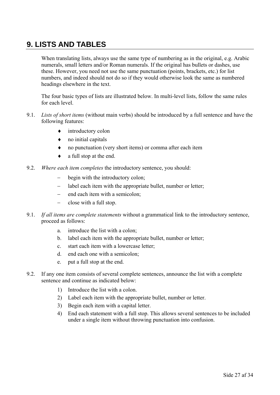# **9. LISTS AND TABLES**

When translating lists, always use the same type of numbering as in the original, e.g. Arabic numerals, small letters and/or Roman numerals. If the original has bullets or dashes, use these. However, you need not use the same punctuation (points, brackets, etc.) for list numbers, and indeed should not do so if they would otherwise look the same as numbered headings elsewhere in the text.

The four basic types of lists are illustrated below. In multi-level lists, follow the same rules for each level.

- 9.1. *Lists of short items* (without main verbs) should be introduced by a full sentence and have the following features:
	- ♦ introductory colon
	- $\bullet$  no initial capitals
	- ♦ no punctuation (very short items) or comma after each item
	- ♦ a full stop at the end.
- 9.2. *Where each item completes* the introductory sentence, you should:
	- − begin with the introductory colon;
	- − label each item with the appropriate bullet, number or letter;
	- − end each item with a semicolon;
	- − close with a full stop.
- 9.1. *If all items are complete statements* without a grammatical link to the introductory sentence, proceed as follows:
	- a. introduce the list with a colon;
	- b. label each item with the appropriate bullet, number or letter;
	- c. start each item with a lowercase letter;
	- d. end each one with a semicolon;
	- e. put a full stop at the end.
- 9.2. If any one item consists of several complete sentences, announce the list with a complete sentence and continue as indicated below:
	- 1) Introduce the list with a colon.
	- 2) Label each item with the appropriate bullet, number or letter.
	- 3) Begin each item with a capital letter.
	- 4) End each statement with a full stop. This allows several sentences to be included under a single item without throwing punctuation into confusion.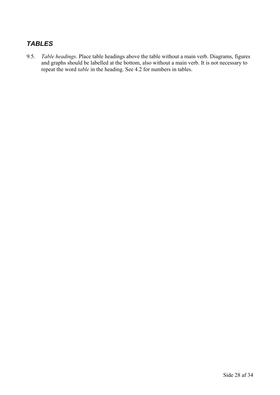### *TABLES*

9.5. *Table headings*. Place table headings above the table without a main verb. Diagrams, figures and graphs should be labelled at the bottom, also without a main verb. It is not necessary to repeat the word *table* in the heading. See 4.2 for numbers in tables.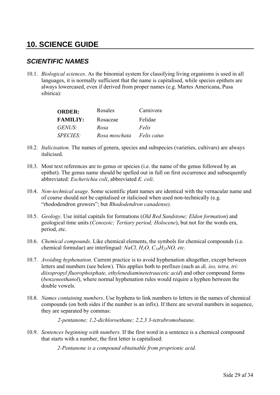## **10. SCIENCE GUIDE**

#### *SCIENTIFIC NAMES*

10.1. *Biological sciences*. As the binomial system for classifying living organisms is used in all languages, it is normally sufficient that the name is capitalised, while species epithets are always lowercased, even if derived from proper names (e.g. Martes Americana, Pusa sibirica):

| <b>ORDER:</b>   | Rosales       | Carnivora          |
|-----------------|---------------|--------------------|
| <b>FAMILIY:</b> | Rosaceae      | Felidae            |
| <i>GENUS:</i>   | Rosa          | Felis              |
| <i>SPECIES:</i> | Rosa moschata | <i>Felis catus</i> |

- 10.2. *Italicisation.* The names of genera, species and subspecies (varieties, cultivars) are always italicised.
- 10.3. Most text references are to genus or species (i.e. the name of the genus followed by an epithet). The genus name should be spelled out in full on first occurrence and subsequently abbreviated: *Escherichia coli*, abbreviated *E. coli*.
- 10.4. *Non-technical usage*. Some scientific plant names are identical with the vernacular name and of course should not be capitalised or italicised when used non-technically (e.g. "rhododendron growers"; but *Rhododendron canadense).*
- 10.5. *Geology*. Use initial capitals for formations (*Old Red Sandstone; Eldon formation*) and geological time units (*Cenozoic; Tertiary period; Holocene*), but not for the words era, period, etc.
- 10.6. *Chemical compounds*. Like chemical elements, the symbols for chemical compounds (i.e. chemical formulae) are interlingual: *NaCl, H2O, C18H25NO, etc.*
- 10.7. *Avoiding hyphenation.* Current practice is to avoid hyphenation altogether, except between letters and numbers (see below). This applies both to prefixes (such as *di, iso, tetra, tri: diisopropyl fluorophosphate, ethylenediaminetetraacetic acid*) and other compound forms (*benzeneethanol*), where normal hyphenation rules would require a hyphen between the double vowels.
- 10.8. *Names containing numbers*. Use hyphens to link numbers to letters in the names of chemical compounds (on both sides if the number is an infix). If there are several numbers in sequence, they are separated by commas:

 *2-pentanone; 1,2-dichloroethane; 2,2,3 3-tetrabromobutane*.

10.9. *Sentences beginning with numbers.* If the first word in a sentence is a chemical compound that starts with a number, the first letter is capitalised:

*2-Pentanone is a compound obtainable from proprionic acid.*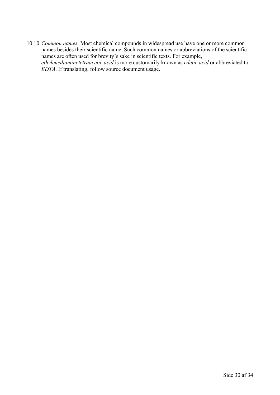10.10.*Common names.* Most chemical compounds in widespread use have one or more common names besides their scientific name. Such common names or abbreviations of the scientific names are often used for brevity's sake in scientific texts. For example, *ethylenediaminetetraacetic acid* is more customarily known as *edetic acid* or abbreviated to *EDTA*. If translating, follow source document usage.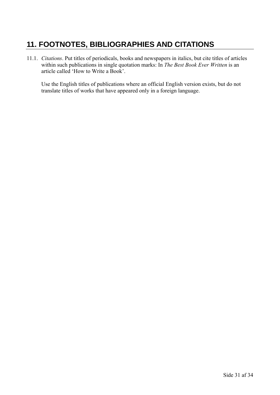# **11. FOOTNOTES, BIBLIOGRAPHIES AND CITATIONS**

11.1. *Citations*. Put titles of periodicals, books and newspapers in italics, but cite titles of articles within such publications in single quotation marks: In *The Best Book Ever Written* is an article called 'How to Write a Book'.

Use the English titles of publications where an official English version exists, but do not translate titles of works that have appeared only in a foreign language.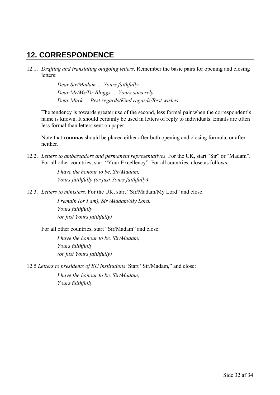# **12. CORRESPONDENCE**

12.1. *Drafting and translating outgoing letters*. Remember the basic pairs for opening and closing letters:

> *Dear Sir/Madam … Yours faithfully Dear Mr/Ms/Dr Bloggs … Yours sincerely Dear Mark … Best regards/Kind regards/Best wishes*

The tendency is towards greater use of the second, less formal pair when the correspondent's name is known. It should certainly be used in letters of reply to individuals. Emails are often less formal than letters sent on paper.

Note that **commas** should be placed either after both opening and closing formula, or after neither.

12.2. *Letters to ambassadors and permanent representatives*. For the UK, start "Sir" or "Madam". For all other countries, start "Your Excellency". For all countries, close as follows.

> *I have the honour to be, Sir/Madam, Yours faithfully (or just Yours faithfully)*

12.3. *Letters to ministers.* For the UK, start "Sir/Madam/My Lord" and close:

*I remain (or I am), Sir /Madam/My Lord, Yours faithfully (or just Yours faithfully)* 

For all other countries, start "Sir/Madam" and close:

*I have the honour to be, Sir/Madam, Yours faithfully (or just Yours faithfully)* 

12.5 *Letters to presidents of EU institutions*. Start "Sir/Madam," and close: *I have the honour to be, Sir/Madam, Yours faithfully*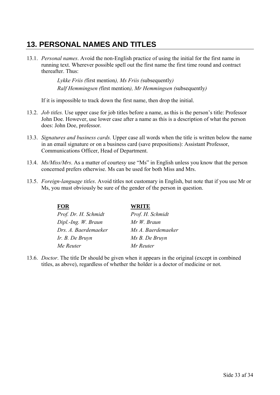## **13. PERSONAL NAMES AND TITLES**

13.1. *Personal names*. Avoid the non-English practice of using the initial for the first name in running text. Wherever possible spell out the first name the first time round and contract thereafter. Thus:

> *Lykke Friis (*first mention*), Ms Friis (*subsequently*) Ralf Hemmingsen (*first mention*), Mr Hemmingsen (*subsequently*)*

If it is impossible to track down the first name, then drop the initial.

- 13.2. *Job titles.* Use upper case for job titles before a name, as this is the person's title: Professor John Doe. However, use lower case after a name as this is a description of what the person does: John Doe, professor.
- 13.3. *Signatures and business cards.* Upper case all words when the title is written below the name in an email signature or on a business card (save prepositions): Assistant Professor, Communications Officer, Head of Department.
- 13.4. *Ms/Miss/Mrs*. As a matter of courtesy use "Ms" in English unless you know that the person concerned prefers otherwise. Ms can be used for both Miss and Mrs.
- 13.5. *Foreign-language titles*. Avoid titles not customary in English, but note that if you use Mr or Ms, you must obviously be sure of the gender of the person in question.

| <b>FOR</b>           | WRITE              |
|----------------------|--------------------|
| Prof. Dr. H. Schmidt | Prof. H. Schmidt   |
| Dipl.-Ing. W. Braun  | Mr W. Braun        |
| Drs. A. Baerdemaeker | Ms A. Baerdemaeker |
| Ir. B. De Bruyn      | Ms B. De Bruyn     |
| Me Reuter            | Mr Reuter          |

13.6. *Doctor*. The title Dr should be given when it appears in the original (except in combined titles, as above), regardless of whether the holder is a doctor of medicine or not.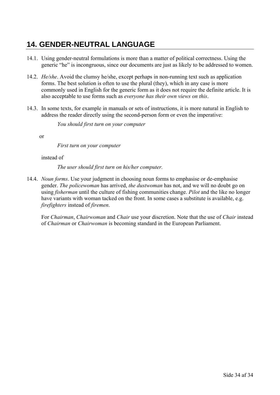# **14. GENDER-NEUTRAL LANGUAGE**

- 14.1. Using gender-neutral formulations is more than a matter of political correctness. Using the generic "he" is incongruous, since our documents are just as likely to be addressed to women.
- 14.2. *He/she*. Avoid the clumsy he/she, except perhaps in non-running text such as application forms. The best solution is often to use the plural (they), which in any case is more commonly used in English for the generic form as it does not require the definite article. It is also acceptable to use forms such as *everyone has their own views on this*.
- 14.3. In some texts, for example in manuals or sets of instructions, it is more natural in English to address the reader directly using the second-person form or even the imperative:

*You should first turn on your computer* 

or

*First turn on your computer* 

#### instead of

*The user should first turn on his/her computer.* 

14.4. *Noun forms*. Use your judgment in choosing noun forms to emphasise or de-emphasise gender. *The policewoman* has arrived, *the dustwoman* has not, and we will no doubt go on using *fisherman* until the culture of fishing communities change. *Pilot* and the like no longer have variants with woman tacked on the front. In some cases a substitute is available, e.g. *firefighters* instead of *firemen*.

For *Chairman*, *Chairwoman* and *Chair* use your discretion. Note that the use of *Chair* instead of *Chairman* or *Chairwoman* is becoming standard in the European Parliament.